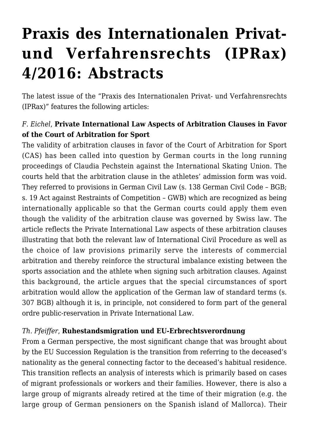# **[Praxis des Internationalen Privat](https://conflictoflaws.net/2016/praxis-des-internationalen-privat-und-verfahrensrechts-iprax-42016-abstracts/)[und Verfahrensrechts \(IPRax\)](https://conflictoflaws.net/2016/praxis-des-internationalen-privat-und-verfahrensrechts-iprax-42016-abstracts/) [4/2016: Abstracts](https://conflictoflaws.net/2016/praxis-des-internationalen-privat-und-verfahrensrechts-iprax-42016-abstracts/)**

The latest issue of the ["Praxis des Internationalen Privat- und Verfahrensrechts](http://www.iprax.de/de/) [\(IPRax\)](http://www.iprax.de/de/)" features the following articles:

## *F. Eichel*, **Private International Law Aspects of Arbitration Clauses in Favor of the Court of Arbitration for Sport**

The validity of arbitration clauses in favor of the Court of Arbitration for Sport (CAS) has been called into question by German courts in the long running proceedings of Claudia Pechstein against the International Skating Union. The courts held that the arbitration clause in the athletes' admission form was void. They referred to provisions in German Civil Law (s. 138 German Civil Code – BGB; s. 19 Act against Restraints of Competition – GWB) which are recognized as being internationally applicable so that the German courts could apply them even though the validity of the arbitration clause was governed by Swiss law. The article reflects the Private International Law aspects of these arbitration clauses illustrating that both the relevant law of International Civil Procedure as well as the choice of law provisions primarily serve the interests of commercial arbitration and thereby reinforce the structural imbalance existing between the sports association and the athlete when signing such arbitration clauses. Against this background, the article argues that the special circumstances of sport arbitration would allow the application of the German law of standard terms (s. 307 BGB) although it is, in principle, not considered to form part of the general ordre public-reservation in Private International Law.

#### *Th. Pfeiffer*, **Ruhestandsmigration und EU-Erbrechtsverordnung**

From a German perspective, the most significant change that was brought about by the EU Succession Regulation is the transition from referring to the deceased's nationality as the general connecting factor to the deceased's habitual residence. This transition reflects an analysis of interests which is primarily based on cases of migrant professionals or workers and their families. However, there is also a large group of migrants already retired at the time of their migration (e.g. the large group of German pensioners on the Spanish island of Mallorca). Their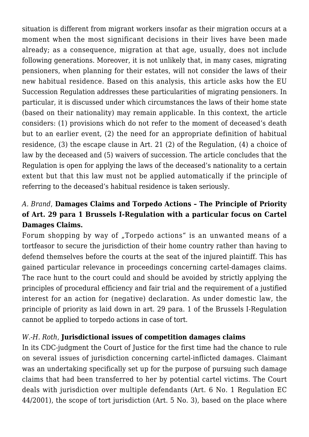situation is different from migrant workers insofar as their migration occurs at a moment when the most significant decisions in their lives have been made already; as a consequence, migration at that age, usually, does not include following generations. Moreover, it is not unlikely that, in many cases, migrating pensioners, when planning for their estates, will not consider the laws of their new habitual residence. Based on this analysis, this article asks how the EU Succession Regulation addresses these particularities of migrating pensioners. In particular, it is discussed under which circumstances the laws of their home state (based on their nationality) may remain applicable. In this context, the article considers: (1) provisions which do not refer to the moment of deceased's death but to an earlier event, (2) the need for an appropriate definition of habitual residence, (3) the escape clause in Art. 21 (2) of the Regulation, (4) a choice of law by the deceased and (5) waivers of succession. The article concludes that the Regulation is open for applying the laws of the deceased's nationality to a certain extent but that this law must not be applied automatically if the principle of referring to the deceased's habitual residence is taken seriously.

# *A. Brand*, **Damages Claims and Torpedo Actions – The Principle of Priority of Art. 29 para 1 Brussels I-Regulation with a particular focus on Cartel Damages Claims.**

Forum shopping by way of "Torpedo actions" is an unwanted means of a tortfeasor to secure the jurisdiction of their home country rather than having to defend themselves before the courts at the seat of the injured plaintiff. This has gained particular relevance in proceedings concerning cartel-damages claims. The race hunt to the court could and should be avoided by strictly applying the principles of procedural efficiency and fair trial and the requirement of a justified interest for an action for (negative) declaration. As under domestic law, the principle of priority as laid down in art. 29 para. 1 of the Brussels I-Regulation cannot be applied to torpedo actions in case of tort.

#### *W.-H. Roth*, **Jurisdictional issues of competition damages claims**

In its CDC-judgment the Court of Justice for the first time had the chance to rule on several issues of jurisdiction concerning cartel-inflicted damages. Claimant was an undertaking specifically set up for the purpose of pursuing such damage claims that had been transferred to her by potential cartel victims. The Court deals with jurisdiction over multiple defendants (Art. 6 No. 1 Regulation EC 44/2001), the scope of tort jurisdiction (Art. 5 No. 3), based on the place where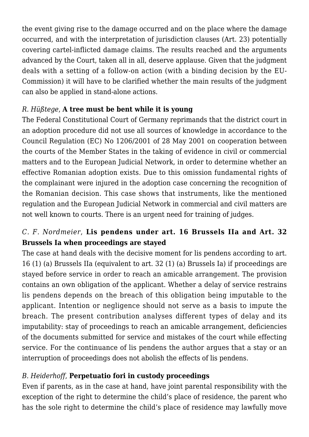the event giving rise to the damage occurred and on the place where the damage occurred, and with the interpretation of jurisdiction clauses (Art. 23) potentially covering cartel-inflicted damage claims. The results reached and the arguments advanced by the Court, taken all in all, deserve applause. Given that the judgment deals with a setting of a follow-on action (with a binding decision by the EU-Commission) it will have to be clarified whether the main results of the judgment can also be applied in stand-alone actions.

### *R. Hüßtege*, **A tree must be bent while it is young**

The Federal Constitutional Court of Germany reprimands that the district court in an adoption procedure did not use all sources of knowledge in accordance to the Council Regulation (EC) No 1206/2001 of 28 May 2001 on cooperation between the courts of the Member States in the taking of evidence in civil or commercial matters and to the European Judicial Network, in order to determine whether an effective Romanian adoption exists. Due to this omission fundamental rights of the complainant were injured in the adoption case concerning the recognition of the Romanian decision. This case shows that instruments, like the mentioned regulation and the European Judicial Network in commercial and civil matters are not well known to courts. There is an urgent need for training of judges.

# *C. F. Nordmeier*, **Lis pendens under art. 16 Brussels IIa and Art. 32 Brussels Ia when proceedings are stayed**

The case at hand deals with the decisive moment for lis pendens according to art. 16 (1) (a) Brussels IIa (equivalent to art. 32 (1) (a) Brussels Ia) if proceedings are stayed before service in order to reach an amicable arrangement. The provision contains an own obligation of the applicant. Whether a delay of service restrains lis pendens depends on the breach of this obligation being imputable to the applicant. Intention or negligence should not serve as a basis to impute the breach. The present contribution analyses different types of delay and its imputability: stay of proceedings to reach an amicable arrangement, deficiencies of the documents submitted for service and mistakes of the court while effecting service. For the continuance of lis pendens the author argues that a stay or an interruption of proceedings does not abolish the effects of lis pendens.

## *B. Heiderhoff*, **Perpetuatio fori in custody proceedings**

Even if parents, as in the case at hand, have joint parental responsibility with the exception of the right to determine the child's place of residence, the parent who has the sole right to determine the child's place of residence may lawfully move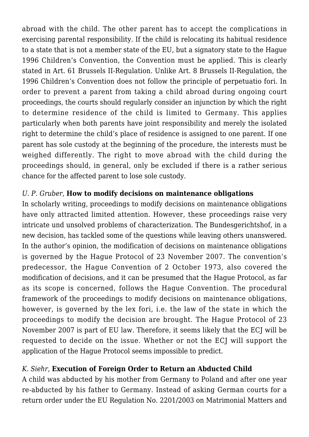abroad with the child. The other parent has to accept the complications in exercising parental responsibility. If the child is relocating its habitual residence to a state that is not a member state of the EU, but a signatory state to the Hague 1996 Children's Convention, the Convention must be applied. This is clearly stated in Art. 61 Brussels II-Regulation. Unlike Art. 8 Brussels II-Regulation, the 1996 Children's Convention does not follow the principle of perpetuatio fori. In order to prevent a parent from taking a child abroad during ongoing court proceedings, the courts should regularly consider an injunction by which the right to determine residence of the child is limited to Germany. This applies particularly when both parents have joint responsibility and merely the isolated right to determine the child's place of residence is assigned to one parent. If one parent has sole custody at the beginning of the procedure, the interests must be weighed differently. The right to move abroad with the child during the proceedings should, in general, only be excluded if there is a rather serious chance for the affected parent to lose sole custody.

#### *U. P. Gruber*, **How to modify decisions on maintenance obligations**

In scholarly writing, proceedings to modify decisions on maintenance obligations have only attracted limited attention. However, these proceedings raise very intricate und unsolved problems of characterization. The Bundesgerichtshof, in a new decision, has tackled some of the questions while leaving others unanswered. In the author's opinion, the modification of decisions on maintenance obligations is governed by the Hague Protocol of 23 November 2007. The convention's predecessor, the Hague Convention of 2 October 1973, also covered the modification of decisions, and it can be presumed that the Hague Protocol, as far as its scope is concerned, follows the Hague Convention. The procedural framework of the proceedings to modify decisions on maintenance obligations, however, is governed by the lex fori, i.e. the law of the state in which the proceedings to modify the decision are brought. The Hague Protocol of 23 November 2007 is part of EU law. Therefore, it seems likely that the ECJ will be requested to decide on the issue. Whether or not the ECJ will support the application of the Hague Protocol seems impossible to predict.

#### *K. Siehr*, **Execution of Foreign Order to Return an Abducted Child**

A child was abducted by his mother from Germany to Poland and after one year re-abducted by his father to Germany. Instead of asking German courts for a return order under the EU Regulation No. 2201/2003 on Matrimonial Matters and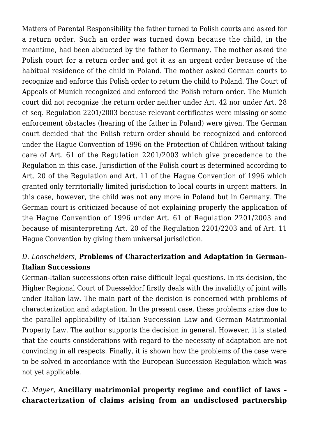Matters of Parental Responsibility the father turned to Polish courts and asked for a return order. Such an order was turned down because the child, in the meantime, had been abducted by the father to Germany. The mother asked the Polish court for a return order and got it as an urgent order because of the habitual residence of the child in Poland. The mother asked German courts to recognize and enforce this Polish order to return the child to Poland. The Court of Appeals of Munich recognized and enforced the Polish return order. The Munich court did not recognize the return order neither under Art. 42 nor under Art. 28 et seq. Regulation 2201/2003 because relevant certificates were missing or some enforcement obstacles (hearing of the father in Poland) were given. The German court decided that the Polish return order should be recognized and enforced under the Hague Convention of 1996 on the Protection of Children without taking care of Art. 61 of the Regulation 2201/2003 which give precedence to the Regulation in this case. Jurisdiction of the Polish court is determined according to Art. 20 of the Regulation and Art. 11 of the Hague Convention of 1996 which granted only territorially limited jurisdiction to local courts in urgent matters. In this case, however, the child was not any more in Poland but in Germany. The German court is criticized because of not explaining properly the application of the Hague Convention of 1996 under Art. 61 of Regulation 2201/2003 and because of misinterpreting Art. 20 of the Regulation 2201/2203 and of Art. 11 Hague Convention by giving them universal jurisdiction.

## *D. Looschelders*, **Problems of Characterization and Adaptation in German-Italian Successions**

German-Italian successions often raise difficult legal questions. In its decision, the Higher Regional Court of Duesseldorf firstly deals with the invalidity of joint wills under Italian law. The main part of the decision is concerned with problems of characterization and adaptation. In the present case, these problems arise due to the parallel applicability of Italian Succession Law and German Matrimonial Property Law. The author supports the decision in general. However, it is stated that the courts considerations with regard to the necessity of adaptation are not convincing in all respects. Finally, it is shown how the problems of the case were to be solved in accordance with the European Succession Regulation which was not yet applicable.

## *C. Mayer*, **Ancillary matrimonial property regime and conflict of laws – characterization of claims arising from an undisclosed partnership**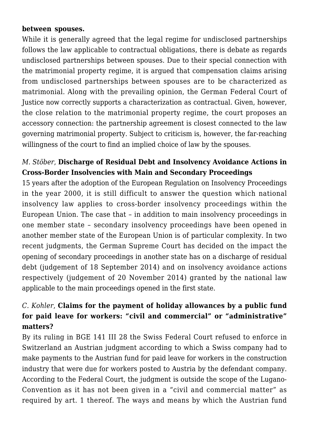#### **between spouses.**

While it is generally agreed that the legal regime for undisclosed partnerships follows the law applicable to contractual obligations, there is debate as regards undisclosed partnerships between spouses. Due to their special connection with the matrimonial property regime, it is argued that compensation claims arising from undisclosed partnerships between spouses are to be characterized as matrimonial. Along with the prevailing opinion, the German Federal Court of Justice now correctly supports a characterization as contractual. Given, however, the close relation to the matrimonial property regime, the court proposes an accessory connection: the partnership agreement is closest connected to the law governing matrimonial property. Subject to criticism is, however, the far-reaching willingness of the court to find an implied choice of law by the spouses.

# *M. Stöber*, **Discharge of Residual Debt and Insolvency Avoidance Actions in Cross-Border Insolvencies with Main and Secondary Proceedings**

15 years after the adoption of the European Regulation on Insolvency Proceedings in the year 2000, it is still difficult to answer the question which national insolvency law applies to cross-border insolvency proceedings within the European Union. The case that – in addition to main insolvency proceedings in one member state – secondary insolvency proceedings have been opened in another member state of the European Union is of particular complexity. In two recent judgments, the German Supreme Court has decided on the impact the opening of secondary proceedings in another state has on a discharge of residual debt (judgement of 18 September 2014) and on insolvency avoidance actions respectively (judgement of 20 November 2014) granted by the national law applicable to the main proceedings opened in the first state.

## *C. Kohler*, **Claims for the payment of holiday allowances by a public fund for paid leave for workers: "civil and commercial" or "administrative" matters?**

By its ruling in BGE 141 III 28 the Swiss Federal Court refused to enforce in Switzerland an Austrian judgment according to which a Swiss company had to make payments to the Austrian fund for paid leave for workers in the construction industry that were due for workers posted to Austria by the defendant company. According to the Federal Court, the judgment is outside the scope of the Lugano-Convention as it has not been given in a "civil and commercial matter" as required by art. 1 thereof. The ways and means by which the Austrian fund